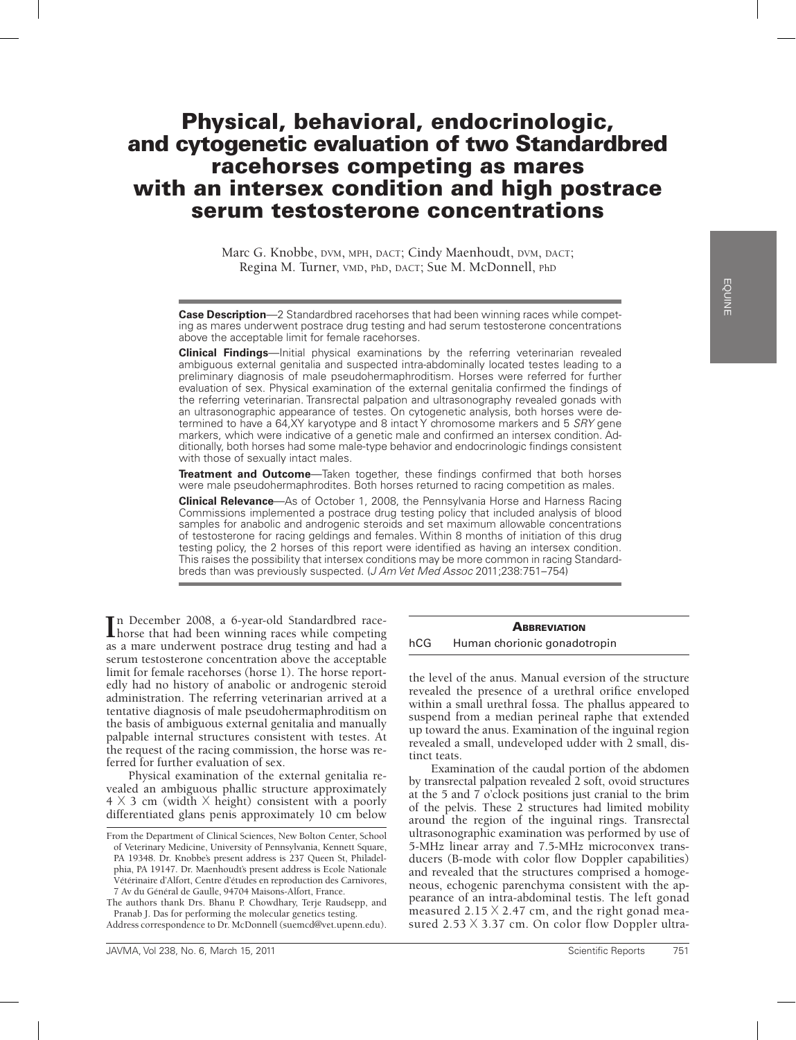## Physical, behavioral, endocrinologic, and cytogenetic evaluation of two Standardbred racehorses competing as mares with an intersex condition and high postrace serum testosterone concentrations

Marc G. Knobbe, DVM, MPH, DACT; Cindy Maenhoudt, DVM, DACT; Regina M. Turner, VMD, PhD, DACT; Sue M. McDonnell, PhD

**Case Description**—2 Standardbred racehorses that had been winning races while competing as mares underwent postrace drug testing and had serum testosterone concentrations above the acceptable limit for female racehorses.

**Clinical Findings**—Initial physical examinations by the referring veterinarian revealed ambiguous external genitalia and suspected intra-abdominally located testes leading to a preliminary diagnosis of male pseudohermaphroditism. Horses were referred for further evaluation of sex. Physical examination of the external genitalia confirmed the findings of the referring veterinarian. Transrectal palpation and ultrasonography revealed gonads with an ultrasonographic appearance of testes. On cytogenetic analysis, both horses were determined to have a 64,XY karyotype and 8 intact Y chromosome markers and 5 *SRY* gene markers, which were indicative of a genetic male and confirmed an intersex condition. Additionally, both horses had some male-type behavior and endocrinologic findings consistent with those of sexually intact males.

**Treatment and Outcome**—Taken together, these findings confirmed that both horses were male pseudohermaphrodites. Both horses returned to racing competition as males.

**Clinical Relevance**—As of October 1, 2008, the Pennsylvania Horse and Harness Racing Commissions implemented a postrace drug testing policy that included analysis of blood samples for anabolic and androgenic steroids and set maximum allowable concentrations of testosterone for racing geldings and females. Within 8 months of initiation of this drug testing policy, the 2 horses of this report were identified as having an intersex condition. This raises the possibility that intersex conditions may be more common in racing Standardbreds than was previously suspected. (*J Am Vet Med Assoc* 2011;238:751–754)

In December 2008, a 6-year-old Standardbred race-<br>
horse that had been winning races while competing horse that had been winning races while competing as a mare underwent postrace drug testing and had a serum testosterone concentration above the acceptable limit for female racehorses (horse 1). The horse reportedly had no history of anabolic or androgenic steroid administration. The referring veterinarian arrived at a tentative diagnosis of male pseudohermaphroditism on the basis of ambiguous external genitalia and manually palpable internal structures consistent with testes. At the request of the racing commission, the horse was referred for further evaluation of sex.

Physical examination of the external genitalia revealed an ambiguous phallic structure approximately  $4 \times 3$  cm (width  $\times$  height) consistent with a poorly differentiated glans penis approximately 10 cm below

The authors thank Drs. Bhanu P. Chowdhary, Terje Raudsepp, and Pranab J. Das for performing the molecular genetics testing.

Address correspondence to Dr. McDonnell (suemcd@vet.upenn.edu).

## **ABBREVIATION**

hCG Human chorionic gonadotropin

the level of the anus. Manual eversion of the structure revealed the presence of a urethral orifice enveloped within a small urethral fossa. The phallus appeared to suspend from a median perineal raphe that extended up toward the anus. Examination of the inguinal region revealed a small, undeveloped udder with 2 small, distinct teats.

Examination of the caudal portion of the abdomen by transrectal palpation revealed 2 soft, ovoid structures at the 5 and  $\overline{7}$  o'clock positions just cranial to the brim of the pelvis. These 2 structures had limited mobility around the region of the inguinal rings. Transrectal ultrasonographic examination was performed by use of 5-MHz linear array and 7.5-MHz microconvex transducers (B-mode with color flow Doppler capabilities) and revealed that the structures comprised a homogeneous, echogenic parenchyma consistent with the appearance of an intra-abdominal testis. The left gonad measured  $2.15 \times 2.47$  cm, and the right gonad measured  $2.53 \times 3.37$  cm. On color flow Doppler ultra-

From the Department of Clinical Sciences, New Bolton Center, School of Veterinary Medicine, University of Pennsylvania, Kennett Square, PA 19348. Dr. Knobbe's present address is 237 Queen St, Philadelphia, PA 19147. Dr. Maenhoudt's present address is Ecole Nationale Vétérinaire d'Alfort, Centre d'études en reproduction des Carnivores, 7 Av du Général de Gaulle, 94704 Maisons-Alfort, France.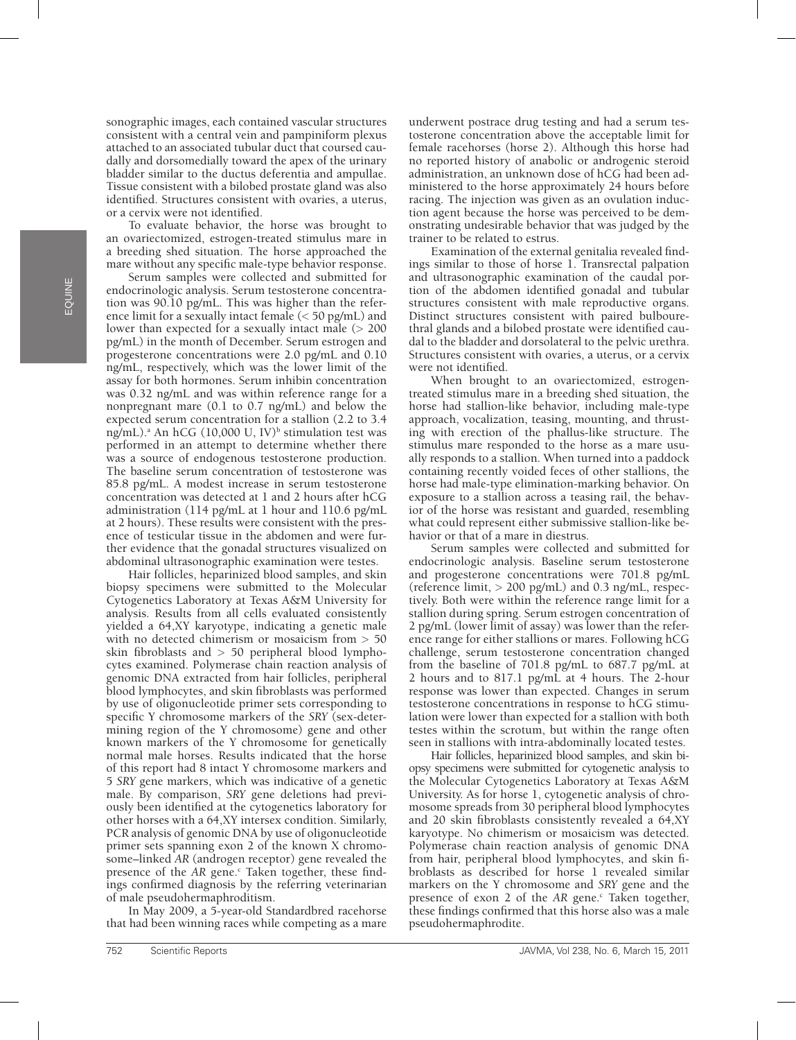sonographic images, each contained vascular structures consistent with a central vein and pampiniform plexus attached to an associated tubular duct that coursed caudally and dorsomedially toward the apex of the urinary bladder similar to the ductus deferentia and ampullae. Tissue consistent with a bilobed prostate gland was also identified. Structures consistent with ovaries, a uterus, or a cervix were not identified.

To evaluate behavior, the horse was brought to an ovariectomized, estrogen-treated stimulus mare in a breeding shed situation. The horse approached the mare without any specific male-type behavior response.

Serum samples were collected and submitted for endocrinologic analysis. Serum testosterone concentration was 90.10 pg/mL. This was higher than the reference limit for a sexually intact female (< 50 pg/mL) and lower than expected for a sexually intact male  $(> 200$ pg/mL) in the month of December. Serum estrogen and progesterone concentrations were 2.0 pg/mL and 0.10 ng/mL, respectively, which was the lower limit of the assay for both hormones. Serum inhibin concentration was 0.32 ng/mL and was within reference range for a nonpregnant mare (0.1 to 0.7 ng/mL) and below the expected serum concentration for a stallion (2.2 to 3.4 ng/mL).<sup>a</sup> An hCG (10,000 U, IV)<sup>b</sup> stimulation test was performed in an attempt to determine whether there was a source of endogenous testosterone production. The baseline serum concentration of testosterone was 85.8 pg/mL. A modest increase in serum testosterone concentration was detected at 1 and 2 hours after hCG administration (114 pg/mL at 1 hour and 110.6 pg/mL at 2 hours). These results were consistent with the presence of testicular tissue in the abdomen and were further evidence that the gonadal structures visualized on abdominal ultrasonographic examination were testes.

Hair follicles, heparinized blood samples, and skin biopsy specimens were submitted to the Molecular Cytogenetics Laboratory at Texas A&M University for analysis. Results from all cells evaluated consistently yielded a 64,XY karyotype, indicating a genetic male with no detected chimerism or mosaicism from > 50 skin fibroblasts and > 50 peripheral blood lymphocytes examined. Polymerase chain reaction analysis of genomic DNA extracted from hair follicles, peripheral blood lymphocytes, and skin fibroblasts was performed by use of oligonucleotide primer sets corresponding to specific Y chromosome markers of the *SRY* (sex-determining region of the Y chromosome) gene and other known markers of the Y chromosome for genetically normal male horses. Results indicated that the horse of this report had 8 intact Y chromosome markers and 5 *SRY* gene markers, which was indicative of a genetic male. By comparison, *SRY* gene deletions had previously been identified at the cytogenetics laboratory for other horses with a 64,XY intersex condition. Similarly, PCR analysis of genomic DNA by use of oligonucleotide primer sets spanning exon 2 of the known X chromosome–linked *AR* (androgen receptor) gene revealed the presence of the AR gene.<sup>c</sup> Taken together, these findings confirmed diagnosis by the referring veterinarian of male pseudohermaphroditism.

In May 2009, a 5-year-old Standardbred racehorse that had been winning races while competing as a mare underwent postrace drug testing and had a serum testosterone concentration above the acceptable limit for female racehorses (horse 2). Although this horse had no reported history of anabolic or androgenic steroid administration, an unknown dose of hCG had been administered to the horse approximately 24 hours before racing. The injection was given as an ovulation induction agent because the horse was perceived to be demonstrating undesirable behavior that was judged by the trainer to be related to estrus.

Examination of the external genitalia revealed findings similar to those of horse 1. Transrectal palpation and ultrasonographic examination of the caudal portion of the abdomen identified gonadal and tubular structures consistent with male reproductive organs. Distinct structures consistent with paired bulbourethral glands and a bilobed prostate were identified caudal to the bladder and dorsolateral to the pelvic urethra. Structures consistent with ovaries, a uterus, or a cervix were not identified.

When brought to an ovariectomized, estrogentreated stimulus mare in a breeding shed situation, the horse had stallion-like behavior, including male-type approach, vocalization, teasing, mounting, and thrusting with erection of the phallus-like structure. The stimulus mare responded to the horse as a mare usually responds to a stallion. When turned into a paddock containing recently voided feces of other stallions, the horse had male-type elimination-marking behavior. On exposure to a stallion across a teasing rail, the behavior of the horse was resistant and guarded, resembling what could represent either submissive stallion-like behavior or that of a mare in diestrus.

Serum samples were collected and submitted for endocrinologic analysis. Baseline serum testosterone and progesterone concentrations were 701.8 pg/mL (reference limit, > 200 pg/mL) and 0.3 ng/mL, respectively. Both were within the reference range limit for a stallion during spring. Serum estrogen concentration of 2 pg/mL (lower limit of assay) was lower than the reference range for either stallions or mares. Following hCG challenge, serum testosterone concentration changed from the baseline of 701.8 pg/mL to 687.7 pg/mL at 2 hours and to 817.1 pg/mL at 4 hours. The 2-hour response was lower than expected. Changes in serum testosterone concentrations in response to hCG stimulation were lower than expected for a stallion with both testes within the scrotum, but within the range often seen in stallions with intra-abdominally located testes.

Hair follicles, heparinized blood samples, and skin biopsy specimens were submitted for cytogenetic analysis to the Molecular Cytogenetics Laboratory at Texas A&M University. As for horse 1, cytogenetic analysis of chromosome spreads from 30 peripheral blood lymphocytes and 20 skin fibroblasts consistently revealed a 64,XY karyotype. No chimerism or mosaicism was detected. Polymerase chain reaction analysis of genomic DNA from hair, peripheral blood lymphocytes, and skin fibroblasts as described for horse 1 revealed similar markers on the Y chromosome and *SRY* gene and the presence of exon 2 of the AR gene.<sup>c</sup> Taken together, these findings confirmed that this horse also was a male pseudohermaphrodite.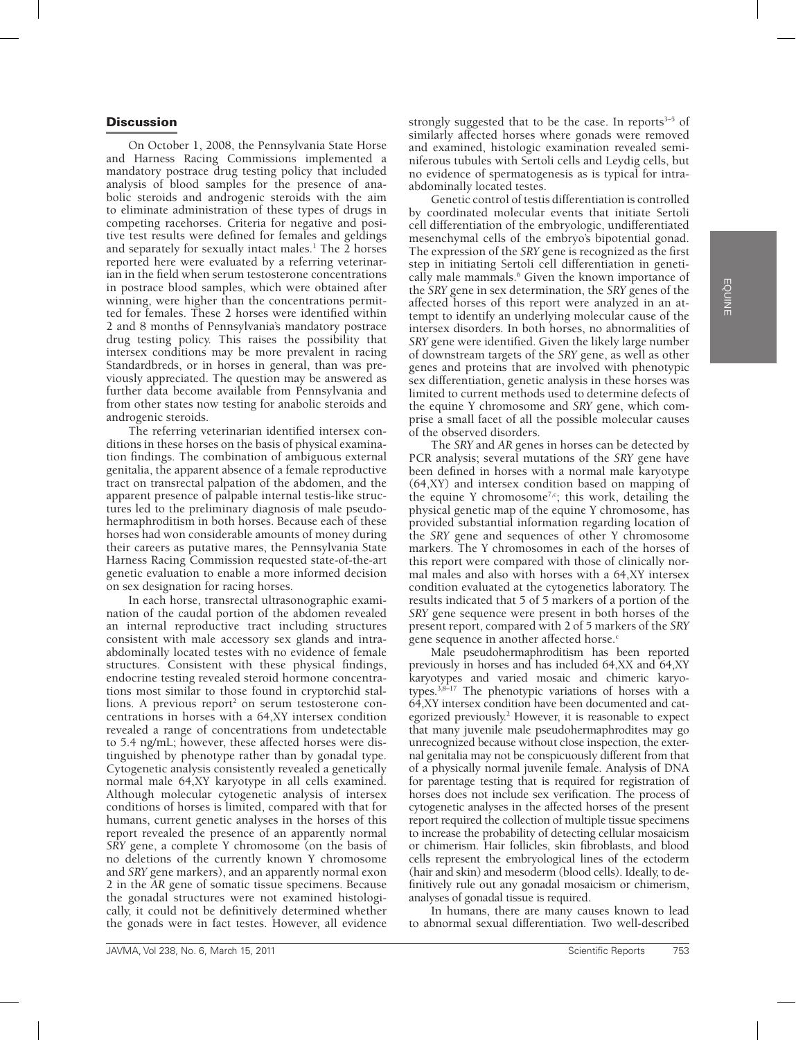## **Discussion**

On October 1, 2008, the Pennsylvania State Horse and Harness Racing Commissions implemented a mandatory postrace drug testing policy that included analysis of blood samples for the presence of anabolic steroids and androgenic steroids with the aim to eliminate administration of these types of drugs in competing racehorses. Criteria for negative and positive test results were defined for females and geldings and separately for sexually intact males.<sup>1</sup> The 2 horses reported here were evaluated by a referring veterinarian in the field when serum testosterone concentrations in postrace blood samples, which were obtained after winning, were higher than the concentrations permitted for females. These 2 horses were identified within 2 and 8 months of Pennsylvania's mandatory postrace drug testing policy. This raises the possibility that intersex conditions may be more prevalent in racing Standardbreds, or in horses in general, than was previously appreciated. The question may be answered as further data become available from Pennsylvania and from other states now testing for anabolic steroids and androgenic steroids.

The referring veterinarian identified intersex conditions in these horses on the basis of physical examination findings. The combination of ambiguous external genitalia, the apparent absence of a female reproductive tract on transrectal palpation of the abdomen, and the apparent presence of palpable internal testis-like structures led to the preliminary diagnosis of male pseudohermaphroditism in both horses. Because each of these horses had won considerable amounts of money during their careers as putative mares, the Pennsylvania State Harness Racing Commission requested state-of-the-art genetic evaluation to enable a more informed decision on sex designation for racing horses.

In each horse, transrectal ultrasonographic examination of the caudal portion of the abdomen revealed an internal reproductive tract including structures consistent with male accessory sex glands and intraabdominally located testes with no evidence of female structures. Consistent with these physical findings, endocrine testing revealed steroid hormone concentrations most similar to those found in cryptorchid stallions. A previous report<sup>2</sup> on serum testosterone concentrations in horses with a 64,XY intersex condition revealed a range of concentrations from undetectable to 5.4 ng/mL; however, these affected horses were distinguished by phenotype rather than by gonadal type. Cytogenetic analysis consistently revealed a genetically normal male 64,XY karyotype in all cells examined. Although molecular cytogenetic analysis of intersex conditions of horses is limited, compared with that for humans, current genetic analyses in the horses of this report revealed the presence of an apparently normal *SRY* gene, a complete Y chromosome (on the basis of no deletions of the currently known Y chromosome and *SRY* gene markers), and an apparently normal exon 2 in the *AR* gene of somatic tissue specimens. Because the gonadal structures were not examined histologically, it could not be definitively determined whether the gonads were in fact testes. However, all evidence

strongly suggested that to be the case. In reports $3-5$  of similarly affected horses where gonads were removed and examined, histologic examination revealed seminiferous tubules with Sertoli cells and Leydig cells, but no evidence of spermatogenesis as is typical for intraabdominally located testes.

Genetic control of testis differentiation is controlled by coordinated molecular events that initiate Sertoli cell differentiation of the embryologic, undifferentiated mesenchymal cells of the embryo's bipotential gonad. The expression of the *SRY* gene is recognized as the first step in initiating Sertoli cell differentiation in genetically male mammals.<sup>6</sup> Given the known importance of the *SRY* gene in sex determination, the *SRY* genes of the affected horses of this report were analyzed in an attempt to identify an underlying molecular cause of the intersex disorders. In both horses, no abnormalities of *SRY* gene were identified. Given the likely large number of downstream targets of the *SRY* gene, as well as other genes and proteins that are involved with phenotypic sex differentiation, genetic analysis in these horses was limited to current methods used to determine defects of the equine Y chromosome and *SRY* gene, which comprise a small facet of all the possible molecular causes of the observed disorders.

The *SRY* and *AR* genes in horses can be detected by PCR analysis; several mutations of the *SRY* gene have been defined in horses with a normal male karyotype (64,XY) and intersex condition based on mapping of the equine Y chromosome<sup>7,c</sup>; this work, detailing the physical genetic map of the equine Y chromosome, has provided substantial information regarding location of the *SRY* gene and sequences of other Y chromosome markers. The Y chromosomes in each of the horses of this report were compared with those of clinically normal males and also with horses with a 64,XY intersex condition evaluated at the cytogenetics laboratory. The results indicated that 5 of 5 markers of a portion of the *SRY* gene sequence were present in both horses of the present report, compared with 2 of 5 markers of the *SRY* gene sequence in another affected horse.<sup>c</sup>

Male pseudohermaphroditism has been reported previously in horses and has included 64,XX and 64,XY karyotypes and varied mosaic and chimeric karyotypes.3,8–17 The phenotypic variations of horses with a 64,XY intersex condition have been documented and categorized previously.<sup>2</sup> However, it is reasonable to expect that many juvenile male pseudohermaphrodites may go unrecognized because without close inspection, the external genitalia may not be conspicuously different from that of a physically normal juvenile female. Analysis of DNA for parentage testing that is required for registration of horses does not include sex verification. The process of cytogenetic analyses in the affected horses of the present report required the collection of multiple tissue specimens to increase the probability of detecting cellular mosaicism or chimerism. Hair follicles, skin fibroblasts, and blood cells represent the embryological lines of the ectoderm (hair and skin) and mesoderm (blood cells). Ideally, to definitively rule out any gonadal mosaicism or chimerism, analyses of gonadal tissue is required.

In humans, there are many causes known to lead to abnormal sexual differentiation. Two well-described